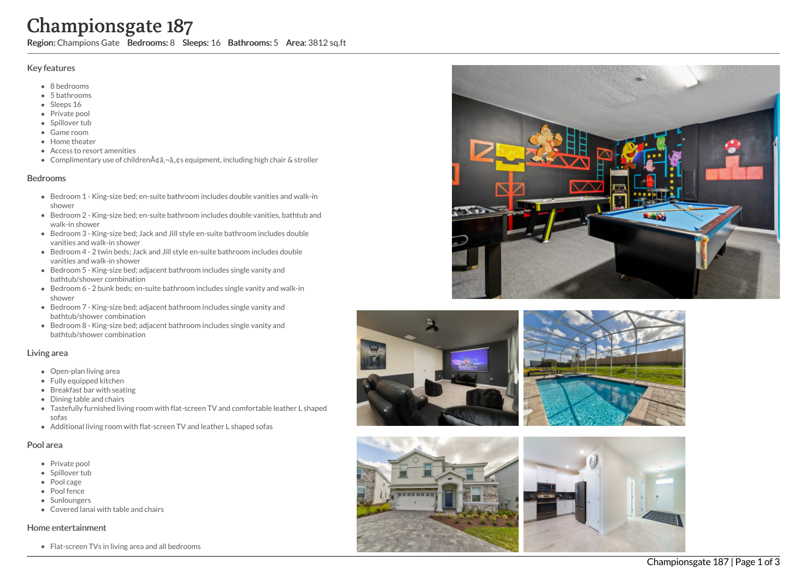# Championsgate 187

Region: Champions Gate Bedrooms: 8 Sleeps: 16 Bathrooms: 5 Area: 3812 sq.ft

# Key features

- 8 b e d r o o m s
- 5 b a t h r o o m s
- Sleeps 16
- Private pool
- Spillover tub
- Game room
- Home theate r
- Access to resort amenities
- Complimentary use of children $\tilde{A}$ ¢â,¬â"¢s equipment, including high chair & stroller

# **Bedrooms**

- Bedroom 1 King-size bed; en-suite bathroom includes double vanities and walk-in s h o w e r
- Bedroom 2 King-size bed; en-suite bathroom includes double vanities, bathtub and walk-in shower
- Bedroom 3 King-size bed; Jack and Jill style en-suite bathroom includes double v a nitie s a n d w alk -in s h o w e r
- Bedroom 4 2 twin beds; Jack and Jill style en-suite bathroom includes double vanities and walk-in shower
- Bedroom 5 King-size bed; adjacent bathroom includes single vanity and bathtub/shower combination
- Bedroom 6 2 bunk beds; en-suite bathroom includes single vanity and walk-in s h o w e r
- Bedroom 7 King-size bed; adjacent bathroom includes single vanity and bathtub/shower combination
- Bedroom 8 King-size bed; adjacent bathroom includes single vanity and bathtub/shower combination

# Living area

- Open-plan living area
- Fully equipped kitchen
- Breakfast bar with seating
- Dining table and chairs
- Tastefully furnished living room with flat-screen TV and comfortable leather L shaped s o f a s
- Additional living room with flat-screen TV and leather L shaped sofas

# Pool area

- Private pool
- Spillover tub
- Pool cage
- Pool fence
- Sunloungers
- Covered lanai with table and chairs

# Home entertainment

Flat-screen TVs in living area and all bedrooms









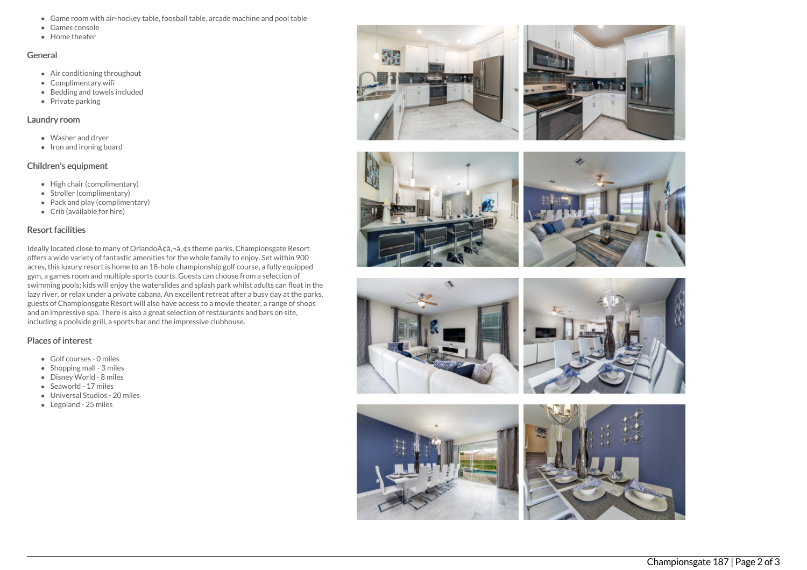- Game room with air-hockey table, foosball table, arcade machine and pool table
- Games console
- **Home theater**

#### General

- Air conditioning throughout
- Complimentary wifi
- Bedding and towels included
- Private parking

#### Laundry room

- Washer and dryer
- Iron and ironing board

# Children's equipment

- High chair (complimentary)
- Stroller (complimentary)
- Pack and play (complimentary)
- Crib (available for hire)

# Resort facilities

Ideally located close to many of Orlando à ¢â,¬â"¢s theme parks, Championsgate Resort offers a wide variety of fantastic amenities for the whole family to enjoy. Set within 900 acres, this luxury resort is home to an 18-hole championship golf course, a fully equipped gym, a games room and multiple sports courts. Guests can choose from a selection of swimming pools; kids will enjoy the waterslides and splash park whilst adults can float in the lazy river, or relax under a private cabana. An excellent retreat after a busy day at the parks, guests of Championsgate Resort will also have access to a movie theater, a range of shops and an impressive spa. There is also a great selection of restaurants and bars on site, including a poolside grill, a sports bar and the impressive clubhouse.

# Places of interest

- Golf courses 0 miles
- Shopping mall 3 miles
- Disney World 8 miles
- Seaworld 17 miles
- Universal Studios 20 miles
- Legoland 25 miles